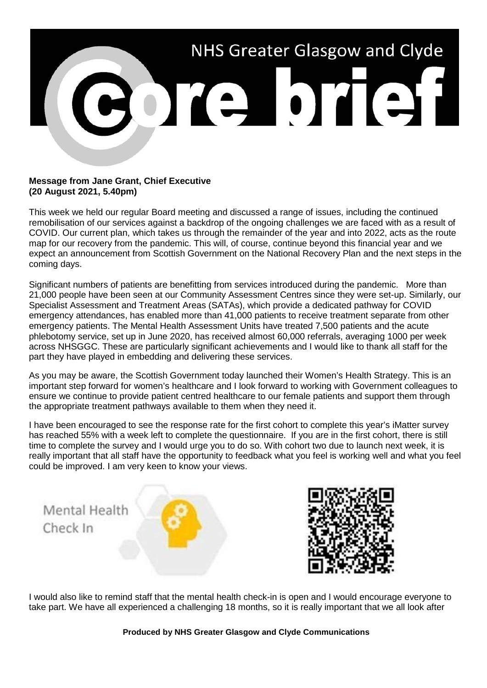

## **Message from Jane Grant, Chief Executive (20 August 2021, 5.40pm)**

This week we held our regular Board meeting and discussed a range of issues, including the continued remobilisation of our services against a backdrop of the ongoing challenges we are faced with as a result of COVID. Our current plan, which takes us through the remainder of the year and into 2022, acts as the route map for our recovery from the pandemic. This will, of course, continue beyond this financial year and we expect an announcement from Scottish Government on the National Recovery Plan and the next steps in the coming days.

Significant numbers of patients are benefitting from services introduced during the pandemic. More than 21,000 people have been seen at our Community Assessment Centres since they were set-up. Similarly, our Specialist Assessment and Treatment Areas (SATAs), which provide a dedicated pathway for COVID emergency attendances, has enabled more than 41,000 patients to receive treatment separate from other emergency patients. The Mental Health Assessment Units have treated 7,500 patients and the acute phlebotomy service, set up in June 2020, has received almost 60,000 referrals, averaging 1000 per week across NHSGGC. These are particularly significant achievements and I would like to thank all staff for the part they have played in embedding and delivering these services.

As you may be aware, the Scottish Government today launched their Women's Health Strategy. This is an important step forward for women's healthcare and I look forward to working with Government colleagues to ensure we continue to provide patient centred healthcare to our female patients and support them through the appropriate treatment pathways available to them when they need it.

I have been encouraged to see the response rate for the first cohort to complete this year's iMatter survey has reached 55% with a week left to complete the questionnaire. If you are in the first cohort, there is still time to complete the survey and I would urge you to do so. With cohort two due to launch next week, it is really important that all staff have the opportunity to feedback what you feel is working well and what you feel could be improved. I am very keen to know your views.



I would also like to remind staff that the mental health check-in is open and I would encourage everyone to take part. We have all experienced a challenging 18 months, so it is really important that we all look after

**Produced by NHS Greater Glasgow and Clyde Communications**